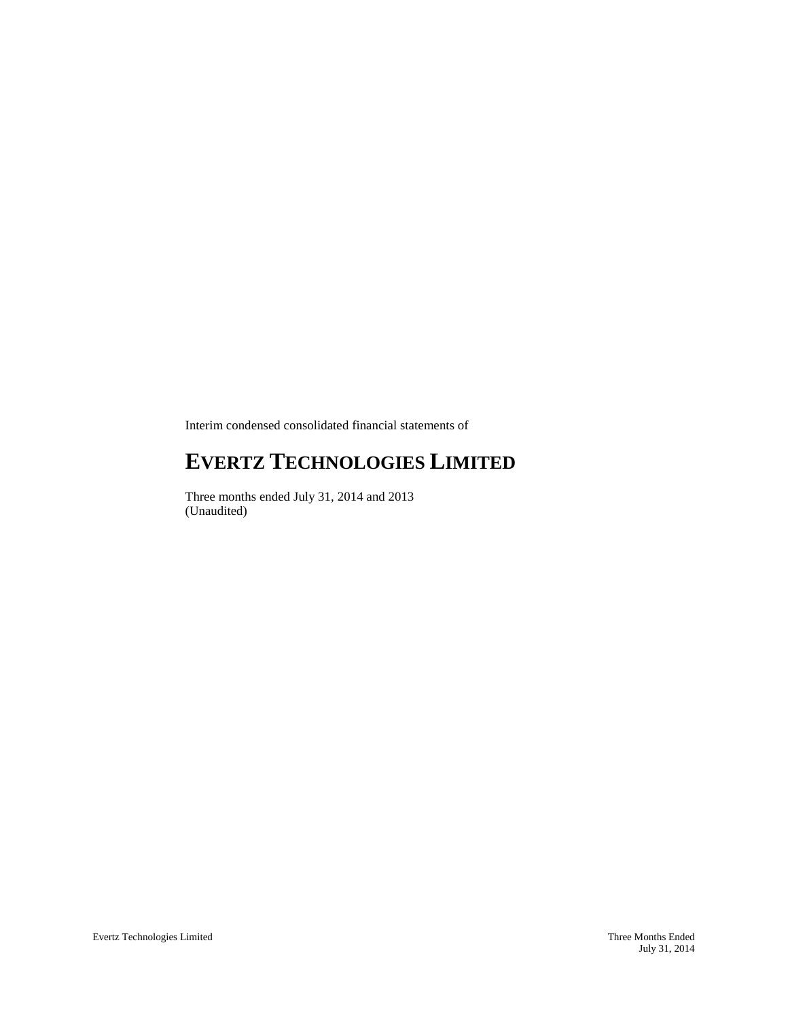Interim condensed consolidated financial statements of

# **EVERTZ TECHNOLOGIES LIMITED**

Three months ended July 31, 2014 and 2013 (Unaudited)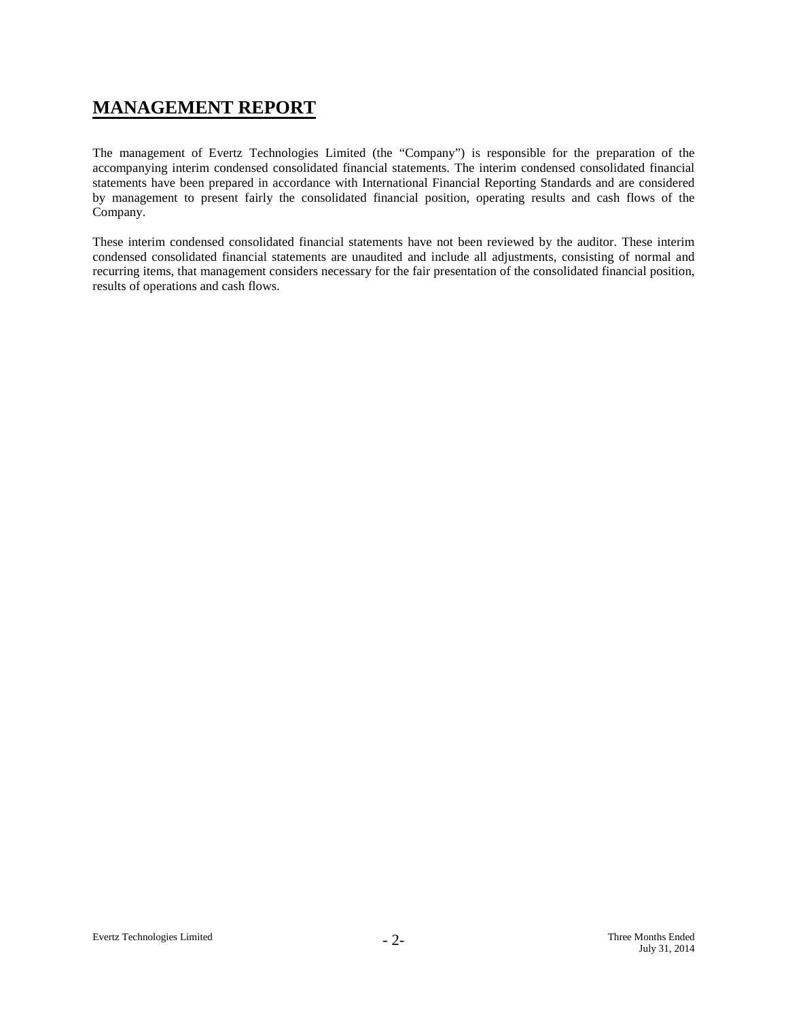# **MANAGEMENT REPORT**

The management of Evertz Technologies Limited (the "Company") is responsible for the preparation of the accompanying interim condensed consolidated financial statements. The interim condensed consolidated financial statements have been prepared in accordance with International Financial Reporting Standards and are considered by management to present fairly the consolidated financial position, operating results and cash flows of the Company.

These interim condensed consolidated financial statements have not been reviewed by the auditor. These interim condensed consolidated financial statements are unaudited and include all adjustments, consisting of normal and recurring items, that management considers necessary for the fair presentation of the consolidated financial position, results of operations and cash flows.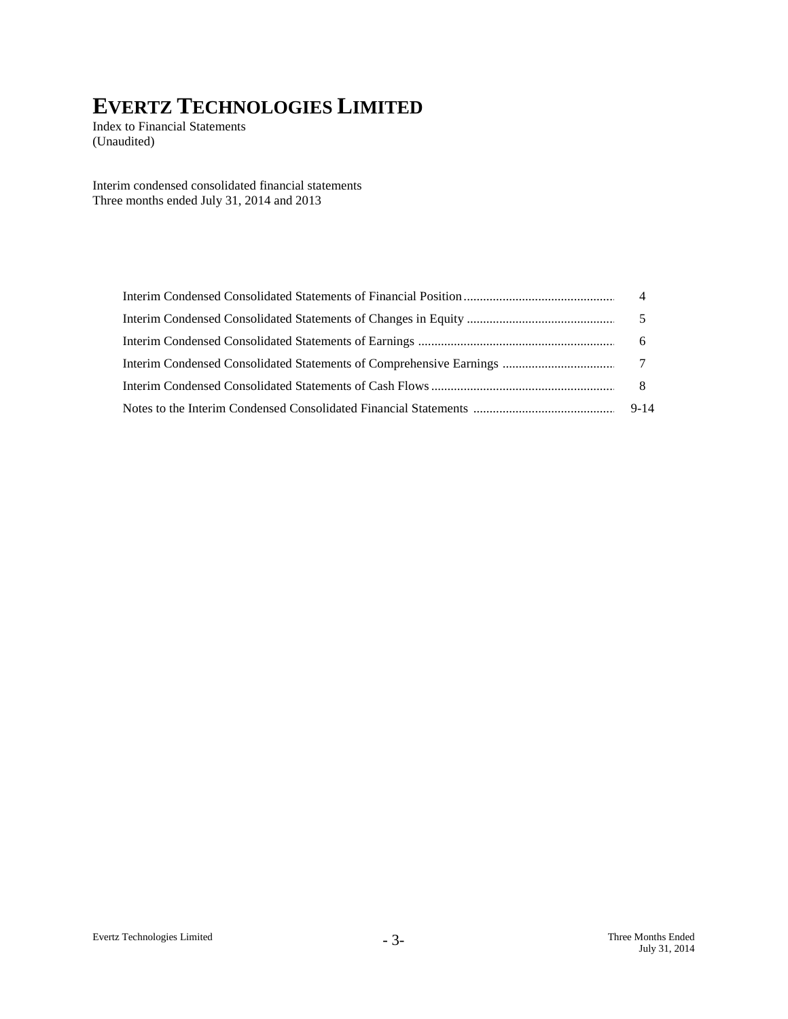Index to Financial Statements (Unaudited)

Interim condensed consolidated financial statements Three months ended July 31, 2014 and 2013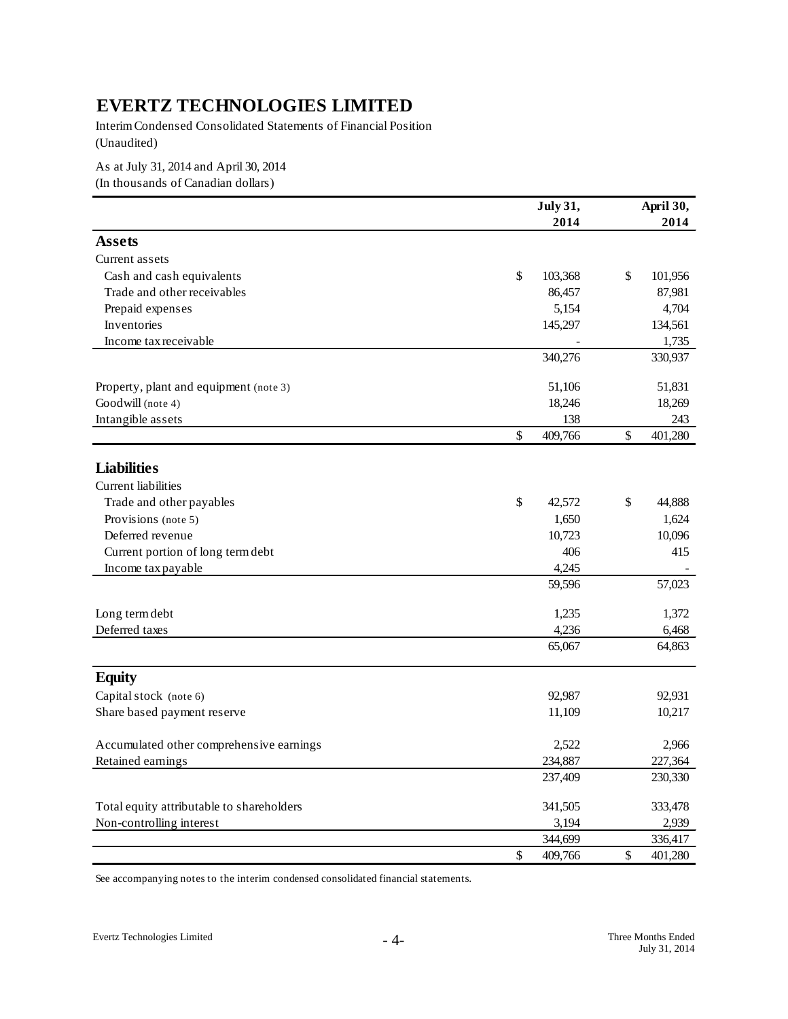Interim Condensed Consolidated Statements of Financial Position (Unaudited)

As at July 31, 2014 and April 30, 2014 (In thousands of Canadian dollars)

|                                           | <b>July 31,</b> | April 30,     |
|-------------------------------------------|-----------------|---------------|
|                                           | 2014            | 2014          |
| <b>Assets</b>                             |                 |               |
| Current assets                            |                 |               |
| Cash and cash equivalents                 | \$<br>103,368   | \$<br>101,956 |
| Trade and other receivables               | 86,457          | 87,981        |
| Prepaid expenses                          | 5,154           | 4,704         |
| Inventories                               | 145,297         | 134,561       |
| Income tax receivable                     |                 | 1,735         |
|                                           | 340,276         | 330,937       |
| Property, plant and equipment (note 3)    | 51,106          | 51,831        |
| Goodwill (note 4)                         | 18,246          | 18,269        |
| Intangible assets                         | 138             | 243           |
|                                           | \$<br>409,766   | \$<br>401,280 |
| <b>Liabilities</b>                        |                 |               |
| Current liabilities                       |                 |               |
| Trade and other payables                  | \$<br>42,572    | \$<br>44,888  |
| Provisions (note 5)                       | 1,650           | 1,624         |
| Deferred revenue                          | 10,723          | 10,096        |
| Current portion of long term debt         | 406             | 415           |
| Income tax payable                        | 4,245           |               |
|                                           | 59,596          | 57,023        |
| Long term debt                            | 1,235           | 1,372         |
| Deferred taxes                            | 4,236           | 6,468         |
|                                           | 65,067          | 64,863        |
| <b>Equity</b>                             |                 |               |
| Capital stock (note 6)                    | 92,987          | 92,931        |
| Share based payment reserve               | 11,109          | 10,217        |
| Accumulated other comprehensive earnings  | 2,522           | 2,966         |
| Retained earnings                         | 234,887         | 227,364       |
|                                           | 237,409         | 230,330       |
| Total equity attributable to shareholders | 341,505         | 333,478       |
| Non-controlling interest                  | 3,194           | 2,939         |
|                                           | 344,699         | 336,417       |
|                                           | \$<br>409,766   | \$<br>401,280 |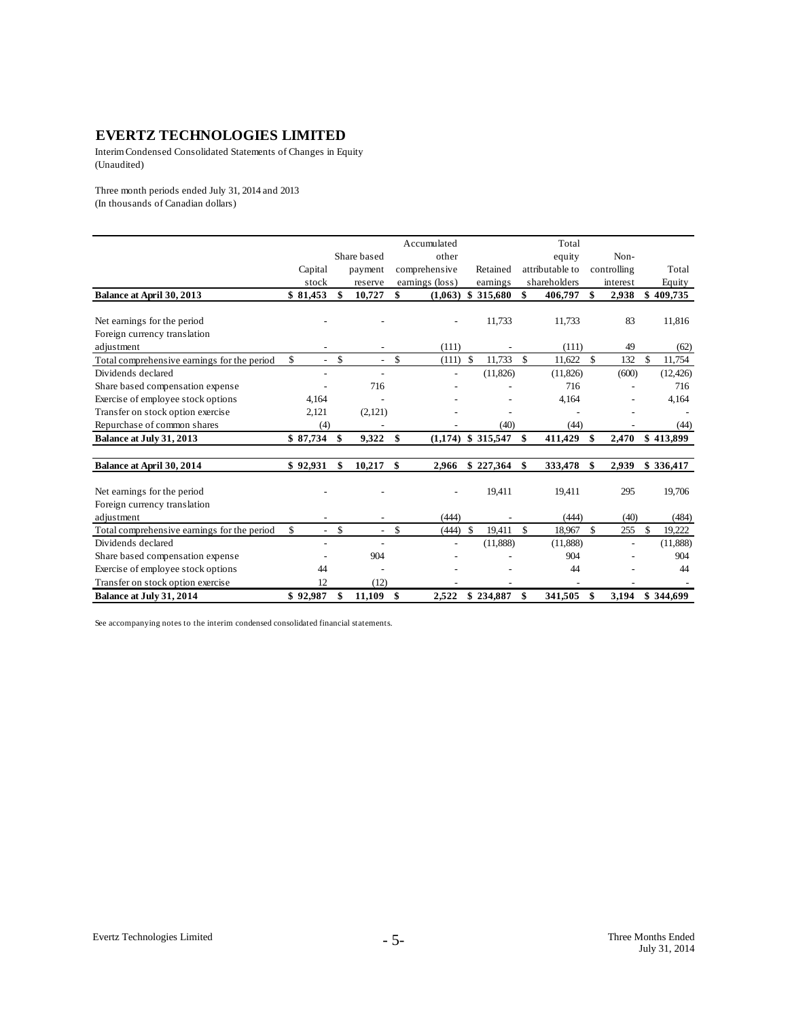Interim Condensed Consolidated Statements of Changes in Equity (Unaudited)

Three month periods ended July 31, 2014 and 2013 (In thousands of Canadian dollars)

|                                             |          |                                |                          |    | Accumulated     |    |           |          | Total           |     |             |               |
|---------------------------------------------|----------|--------------------------------|--------------------------|----|-----------------|----|-----------|----------|-----------------|-----|-------------|---------------|
|                                             |          |                                | Share based              |    | other           |    |           |          | equity          |     | Non-        |               |
|                                             | Capital  |                                | payment                  |    | comprehensive   |    | Retained  |          | attributable to |     | controlling | Total         |
|                                             | stock    |                                | reserve                  |    | earnings (loss) |    | earnings  |          | shareholders    |     | interest    | Equity        |
| Balance at April 30, 2013                   | \$81,453 | \$                             | 10,727                   | \$ | (1,063)         | -S | 315,680   | \$       | 406,797         | \$  | 2,938       | \$<br>409,735 |
|                                             |          |                                |                          |    |                 |    |           |          |                 |     |             |               |
| Net earnings for the period                 |          |                                |                          |    |                 |    | 11,733    |          | 11,733          |     | 83          | 11,816        |
| Foreign currency translation                |          |                                |                          |    |                 |    |           |          |                 |     |             |               |
| adjustment                                  |          |                                |                          |    | (111)           |    |           |          | (111)           |     | 49          | (62)          |
| Total comprehensive earnings for the period | \$.      | $\mathbb{S}$<br>$\overline{a}$ | $\overline{a}$           | \$ | $(111)$ \$      |    | 11,733    | <b>S</b> | 11,622          | \$. | 132         | \$<br>11,754  |
| Dividends declared                          |          |                                | $\overline{\phantom{a}}$ |    |                 |    | (11, 826) |          | (11,826)        |     | (600)       | (12, 426)     |
| Share based compensation expense            |          |                                | 716                      |    |                 |    |           |          | 716             |     |             | 716           |
| Exercise of employee stock options          | 4,164    |                                |                          |    |                 |    |           |          | 4,164           |     |             | 4,164         |
| Transfer on stock option exercise           | 2,121    |                                | (2,121)                  |    |                 |    |           |          |                 |     |             |               |
| Repurchase of common shares                 | (4)      |                                |                          |    |                 |    | (40)      |          | (44)            |     |             | (44)          |
| Balance at July 31, 2013                    | \$87,734 | \$                             | 9,322                    | -S | (1.174)         |    | \$315,547 | \$       | 411,429         |     | 2,470       | \$413,899     |
| Balance at April 30, 2014                   | \$92,931 | \$                             | 10,217                   | \$ | 2,966           |    | \$227,364 | \$       | 333,478         | \$  | 2,939       | \$336,417     |
| Net earnings for the period                 |          |                                |                          |    |                 |    | 19,411    |          | 19,411          |     | 295         | 19,706        |
| Foreign currency translation                |          |                                |                          |    |                 |    |           |          |                 |     |             |               |
| adjustment                                  |          |                                |                          |    | (444)           |    |           |          | (444)           |     | (40)        | (484)         |
| Total comprehensive earnings for the period | \$       | \$<br>$\overline{a}$           | $\overline{a}$           | \$ | (444)           | S  | 19,411    | -S       | 18,967          | \$  | 255         | \$<br>19,222  |
| Dividends declared                          |          |                                |                          |    |                 |    | (11,888)  |          | (11,888)        |     |             | (11,888)      |
| Share based compensation expense            |          |                                | 904                      |    |                 |    |           |          | 904             |     |             | 904           |
| Exercise of employee stock options          | 44       |                                |                          |    |                 |    |           |          | 44              |     |             | 44            |
| Transfer on stock option exercise           | 12       |                                | (12)                     |    |                 |    |           |          |                 |     |             |               |
| Balance at July 31, 2014                    | \$92,987 | \$                             | 11,109                   | \$ | 2,522           |    | \$234,887 | \$       | 341,505         | \$  | 3,194       | \$344,699     |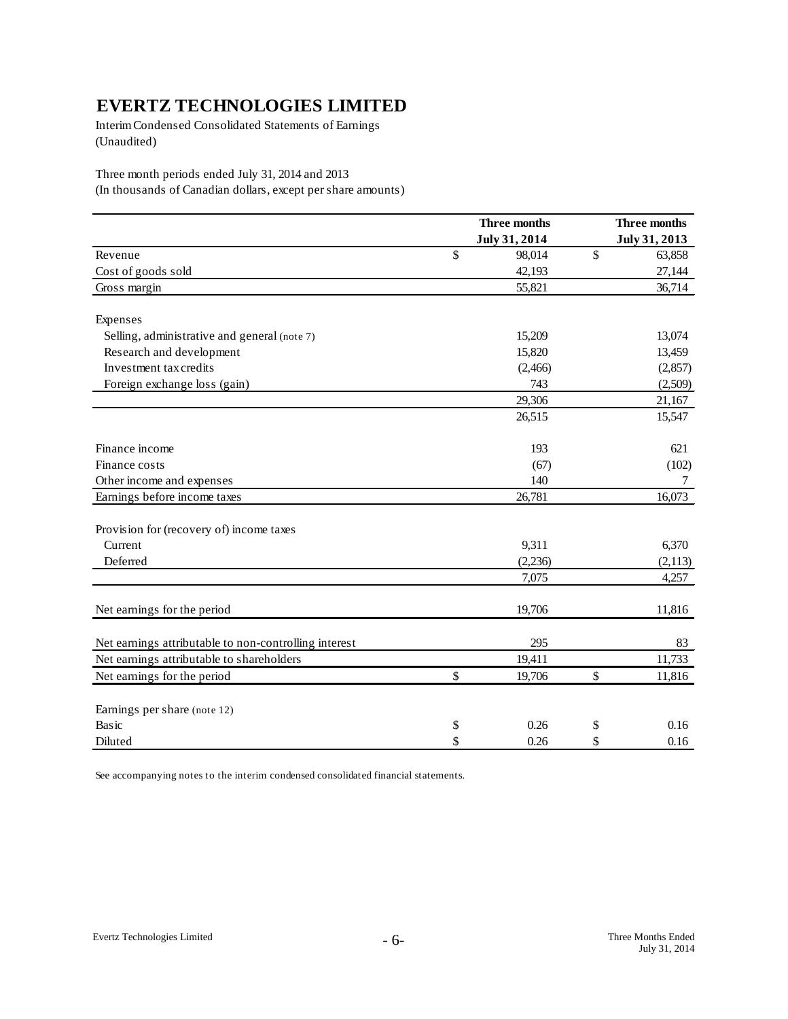Interim Condensed Consolidated Statements of Earnings (Unaudited)

Three month periods ended July 31, 2014 and 2013

(In thousands of Canadian dollars, except per share amounts)

|                                                       | Three months  |    | Three months  |
|-------------------------------------------------------|---------------|----|---------------|
|                                                       | July 31, 2014 |    | July 31, 2013 |
| Revenue                                               | \$<br>98,014  | \$ | 63,858        |
| Cost of goods sold                                    | 42,193        |    | 27,144        |
| Gross margin                                          | 55,821        |    | 36,714        |
| Expenses                                              |               |    |               |
| Selling, administrative and general (note 7)          | 15,209        |    | 13,074        |
| Research and development                              | 15,820        |    | 13,459        |
| Investment tax credits                                | (2,466)       |    | (2,857)       |
| Foreign exchange loss (gain)                          | 743           |    | (2,509)       |
|                                                       | 29,306        |    | 21,167        |
|                                                       | 26,515        |    | 15,547        |
| Finance income                                        | 193           |    | 621           |
| Finance costs                                         | (67)          |    | (102)         |
| Other income and expenses                             | 140           |    | 7             |
| Earnings before income taxes                          | 26,781        |    | 16,073        |
| Provision for (recovery of) income taxes              |               |    |               |
| Current                                               | 9,311         |    | 6,370         |
| Deferred                                              | (2,236)       |    | (2,113)       |
|                                                       | 7,075         |    | 4,257         |
| Net earnings for the period                           | 19,706        |    | 11,816        |
| Net earnings attributable to non-controlling interest | 295           |    | 83            |
| Net earnings attributable to shareholders             | 19,411        |    | 11,733        |
| Net earnings for the period                           | \$<br>19,706  | \$ | 11,816        |
| Earnings per share (note 12)                          |               |    |               |
| <b>Basic</b>                                          | \$<br>0.26    | \$ | 0.16          |
| Diluted                                               | \$<br>0.26    | \$ | 0.16          |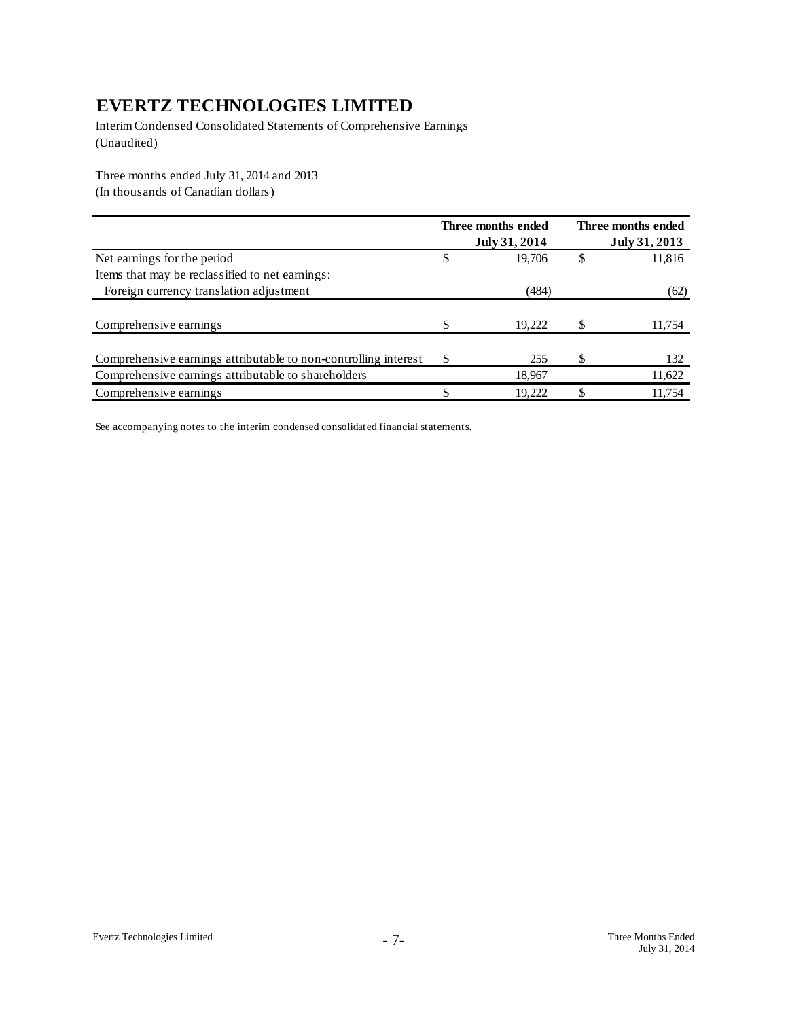Interim Condensed Consolidated Statements of Comprehensive Earnings (Unaudited)

Three months ended July 31, 2014 and 2013 (In thousands of Canadian dollars)

|                                                                 | Three months ended<br>July 31, 2014 |   | Three months ended<br>July 31, 2013 |
|-----------------------------------------------------------------|-------------------------------------|---|-------------------------------------|
| Net earnings for the period                                     | \$<br>19,706                        | S | 11,816                              |
| Items that may be reclassified to net earnings:                 |                                     |   |                                     |
| Foreign currency translation adjustment                         | (484)                               |   | (62)                                |
|                                                                 |                                     |   |                                     |
| Comprehensive earnings                                          | \$<br>19,222                        |   | 11,754                              |
|                                                                 |                                     |   |                                     |
| Comprehensive earnings attributable to non-controlling interest | \$<br>255                           |   | 132                                 |
| Comprehensive earnings attributable to shareholders             | 18,967                              |   | 11,622                              |
| Comprehensive earnings                                          | 19,222                              |   | 11,754                              |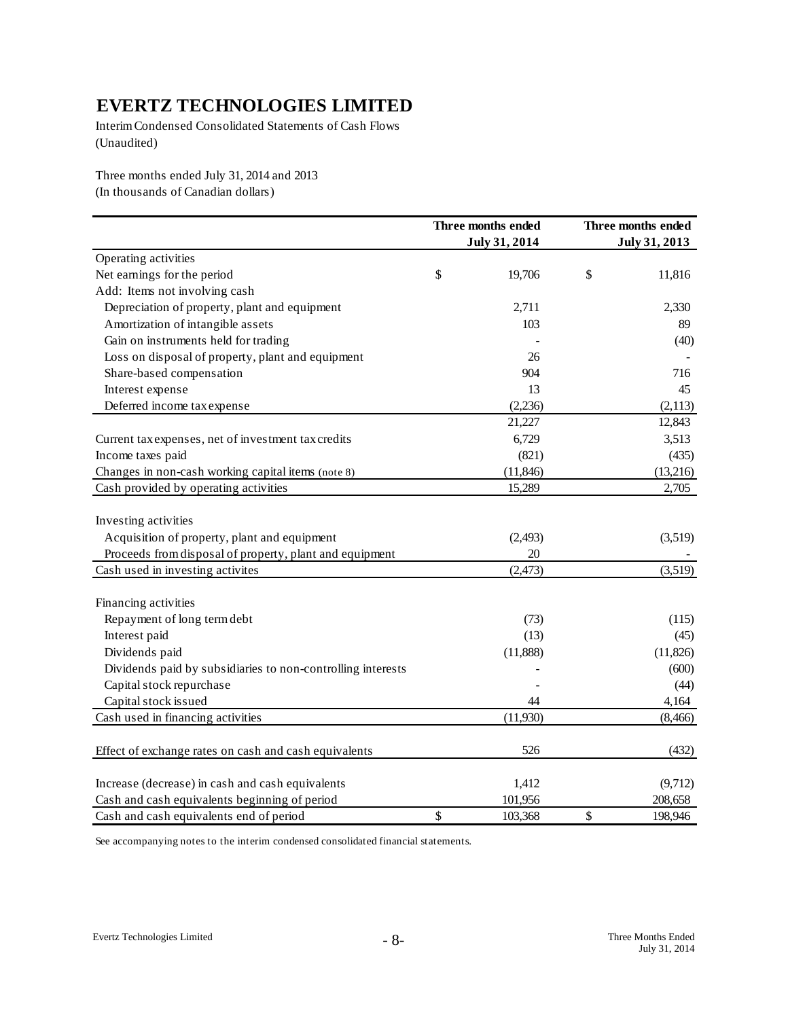Interim Condensed Consolidated Statements of Cash Flows (Unaudited)

Three months ended July 31, 2014 and 2013 (In thousands of Canadian dollars)

|                                                                                                                                 | Three months ended<br>July 31, 2014 | Three months ended<br>July 31, 2013 |
|---------------------------------------------------------------------------------------------------------------------------------|-------------------------------------|-------------------------------------|
| Operating activities                                                                                                            |                                     |                                     |
| Net earnings for the period                                                                                                     | \$<br>19,706                        | \$<br>11,816                        |
| Add: Items not involving cash                                                                                                   |                                     |                                     |
| Depreciation of property, plant and equipment                                                                                   | 2,711                               | 2,330                               |
| Amortization of intangible assets                                                                                               | 103                                 | 89                                  |
| Gain on instruments held for trading                                                                                            |                                     | (40)                                |
| Loss on disposal of property, plant and equipment                                                                               | 26                                  |                                     |
| Share-based compensation                                                                                                        | 904                                 | 716                                 |
| Interest expense                                                                                                                | 13                                  | 45                                  |
| Deferred income tax expense                                                                                                     | (2,236)                             | (2,113)                             |
|                                                                                                                                 | 21,227                              | 12,843                              |
| Current tax expenses, net of investment tax credits                                                                             | 6,729                               | 3,513                               |
| Income taxes paid                                                                                                               | (821)                               | (435)                               |
| Changes in non-cash working capital items (note 8)                                                                              | (11, 846)                           | (13,216)                            |
| Cash provided by operating activities                                                                                           | 15,289                              | 2,705                               |
| Investing activities<br>Acquisition of property, plant and equipment<br>Proceeds from disposal of property, plant and equipment | (2, 493)<br>20                      | (3,519)                             |
| Cash used in investing activites                                                                                                | (2, 473)                            | (3,519)                             |
| Financing activities                                                                                                            |                                     |                                     |
| Repayment of long term debt                                                                                                     | (73)                                | (115)                               |
| Interest paid                                                                                                                   | (13)                                | (45)                                |
| Dividends paid                                                                                                                  | (11,888)                            | (11, 826)                           |
| Dividends paid by subsidiaries to non-controlling interests                                                                     |                                     | (600)                               |
| Capital stock repurchase                                                                                                        |                                     | (44)                                |
| Capital stock issued                                                                                                            | 44                                  | 4,164                               |
| Cash used in financing activities                                                                                               | (11,930)                            | (8, 466)                            |
| Effect of exchange rates on cash and cash equivalents                                                                           | 526                                 | (432)                               |
| Increase (decrease) in cash and cash equivalents                                                                                | 1,412                               | (9,712)                             |
| Cash and cash equivalents beginning of period                                                                                   | 101,956                             | 208,658                             |
| Cash and cash equivalents end of period                                                                                         | \$<br>103,368                       | \$<br>198,946                       |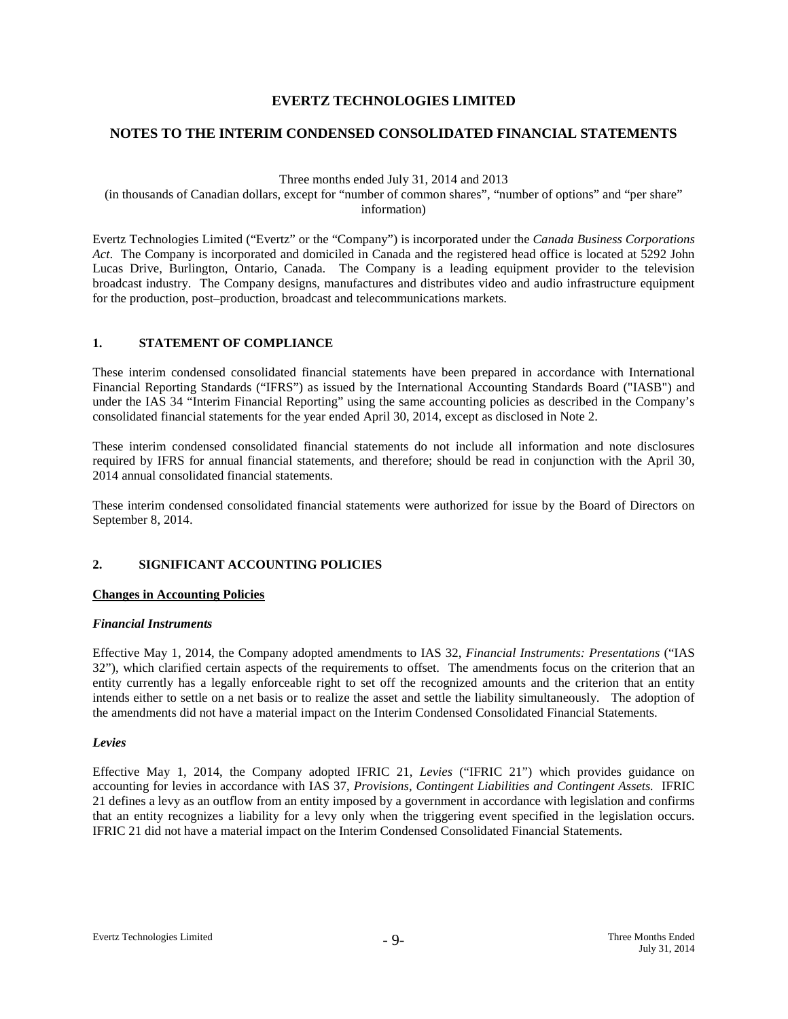## **NOTES TO THE INTERIM CONDENSED CONSOLIDATED FINANCIAL STATEMENTS**

Three months ended July 31, 2014 and 2013

(in thousands of Canadian dollars, except for "number of common shares", "number of options" and "per share" information)

Evertz Technologies Limited ("Evertz" or the "Company") is incorporated under the *Canada Business Corporations Act*. The Company is incorporated and domiciled in Canada and the registered head office is located at 5292 John Lucas Drive, Burlington, Ontario, Canada. The Company is a leading equipment provider to the television broadcast industry. The Company designs, manufactures and distributes video and audio infrastructure equipment for the production, post–production, broadcast and telecommunications markets.

## **1. STATEMENT OF COMPLIANCE**

These interim condensed consolidated financial statements have been prepared in accordance with International Financial Reporting Standards ("IFRS") as issued by the International Accounting Standards Board ("IASB") and under the IAS 34 "Interim Financial Reporting" using the same accounting policies as described in the Company's consolidated financial statements for the year ended April 30, 2014, except as disclosed in Note 2.

These interim condensed consolidated financial statements do not include all information and note disclosures required by IFRS for annual financial statements, and therefore; should be read in conjunction with the April 30, 2014 annual consolidated financial statements.

These interim condensed consolidated financial statements were authorized for issue by the Board of Directors on September 8, 2014.

## **2. SIGNIFICANT ACCOUNTING POLICIES**

#### **Changes in Accounting Policies**

#### *Financial Instruments*

Effective May 1, 2014, the Company adopted amendments to IAS 32, *Financial Instruments: Presentations* ("IAS 32"), which clarified certain aspects of the requirements to offset. The amendments focus on the criterion that an entity currently has a legally enforceable right to set off the recognized amounts and the criterion that an entity intends either to settle on a net basis or to realize the asset and settle the liability simultaneously. The adoption of the amendments did not have a material impact on the Interim Condensed Consolidated Financial Statements.

#### *Levies*

Effective May 1, 2014, the Company adopted IFRIC 21, *Levies* ("IFRIC 21") which provides guidance on accounting for levies in accordance with IAS 37, *Provisions, Contingent Liabilities and Contingent Assets.* IFRIC 21 defines a levy as an outflow from an entity imposed by a government in accordance with legislation and confirms that an entity recognizes a liability for a levy only when the triggering event specified in the legislation occurs. IFRIC 21 did not have a material impact on the Interim Condensed Consolidated Financial Statements.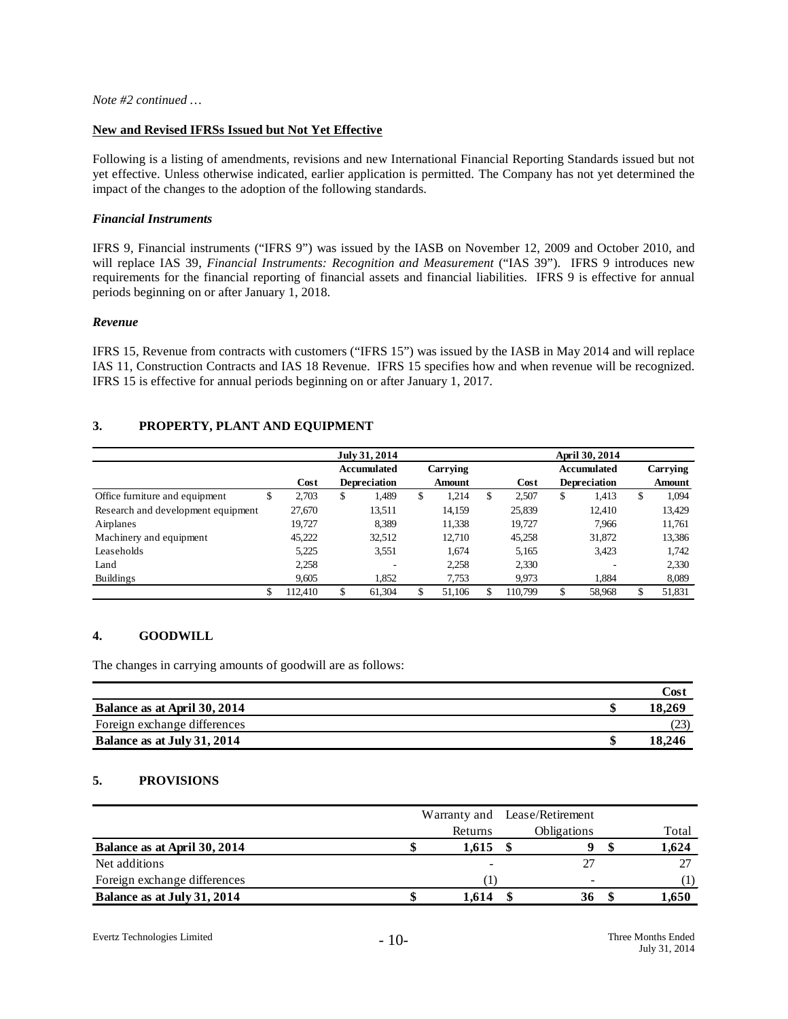#### **New and Revised IFRSs Issued but Not Yet Effective**

Following is a listing of amendments, revisions and new International Financial Reporting Standards issued but not yet effective. Unless otherwise indicated, earlier application is permitted. The Company has not yet determined the impact of the changes to the adoption of the following standards.

#### *Financial Instruments*

IFRS 9, Financial instruments ("IFRS 9") was issued by the IASB on November 12, 2009 and October 2010, and will replace IAS 39, *Financial Instruments: Recognition and Measurement* ("IAS 39"). IFRS 9 introduces new requirements for the financial reporting of financial assets and financial liabilities. IFRS 9 is effective for annual periods beginning on or after January 1, 2018.

#### *Revenue*

IFRS 15, Revenue from contracts with customers ("IFRS 15") was issued by the IASB in May 2014 and will replace IAS 11, Construction Contracts and IAS 18 Revenue. IFRS 15 specifies how and when revenue will be recognized. IFRS 15 is effective for annual periods beginning on or after January 1, 2017.

# **3. PROPERTY, PLANT AND EQUIPMENT**

|                                    |             | April 30, 2014<br>July 31, 2014 |             |    |               |   |         |    |                     |    |          |  |  |  |
|------------------------------------|-------------|---------------------------------|-------------|----|---------------|---|---------|----|---------------------|----|----------|--|--|--|
|                                    |             |                                 | Accumulated |    | Carrying      |   |         |    | <b>Accumulated</b>  |    | Carrying |  |  |  |
|                                    | Cost        | <b>Depreciation</b>             |             |    | <b>Amount</b> |   | Cost    |    | <b>Depreciation</b> |    | Amount   |  |  |  |
| Office furniture and equipment     | \$<br>2.703 | \$                              | 1.489       | \$ | 1.214         | S | 2,507   | \$ | 1.413               | \$ | 1,094    |  |  |  |
| Research and development equipment | 27,670      |                                 | 13.511      |    | 14,159        |   | 25,839  |    | 12.410              |    | 13,429   |  |  |  |
| Airplanes                          | 19.727      |                                 | 8.389       |    | 11,338        |   | 19.727  |    | 7.966               |    | 11,761   |  |  |  |
| Machinery and equipment            | 45,222      |                                 | 32,512      |    | 12,710        |   | 45,258  |    | 31,872              |    | 13,386   |  |  |  |
| Leaseholds                         | 5,225       |                                 | 3,551       |    | 1.674         |   | 5.165   |    | 3,423               |    | 1.742    |  |  |  |
| Land                               | 2,258       |                                 |             |    | 2,258         |   | 2,330   |    |                     |    | 2.330    |  |  |  |
| <b>Buildings</b>                   | 9,605       |                                 | 1,852       |    | 7,753         |   | 9,973   |    | 1.884               |    | 8,089    |  |  |  |
|                                    | 112,410     |                                 | 61,304      | \$ | 51,106        |   | 110,799 | \$ | 58,968              | \$ | 51,831   |  |  |  |

## **4. GOODWILL**

The changes in carrying amounts of goodwill are as follows:

|                              | Cost   |
|------------------------------|--------|
| Balance as at April 30, 2014 | 18,269 |
| Foreign exchange differences |        |
| Balance as at July 31, 2014  | 18.246 |

## **5. PROVISIONS**

|                              |         | Warranty and Lease/Retirement |       |
|------------------------------|---------|-------------------------------|-------|
|                              | Returns | Obligations                   | Total |
| Balance as at April 30, 2014 | 1.615   |                               | 1.624 |
| Net additions                |         |                               |       |
| Foreign exchange differences |         | -                             |       |
| Balance as at July 31, 2014  | 1.614   | 36                            | .,650 |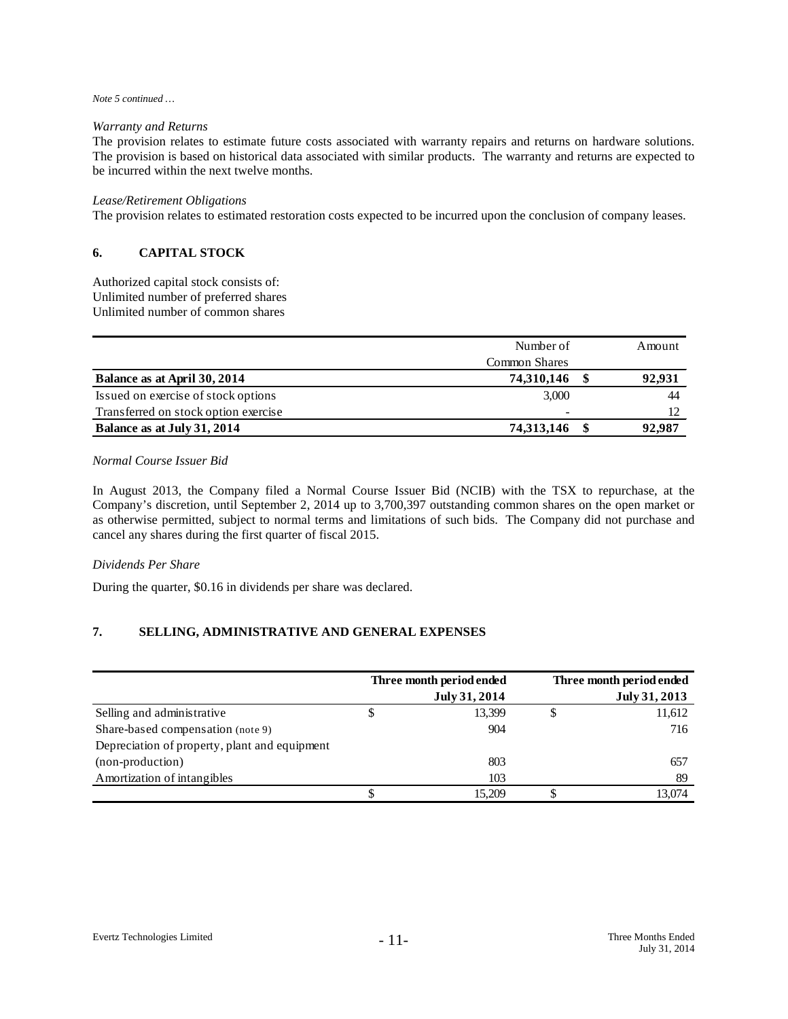#### *Note 5 continued …*

#### *Warranty and Returns*

The provision relates to estimate future costs associated with warranty repairs and returns on hardware solutions. The provision is based on historical data associated with similar products. The warranty and returns are expected to be incurred within the next twelve months.

#### *Lease/Retirement Obligations*

The provision relates to estimated restoration costs expected to be incurred upon the conclusion of company leases.

## **6. CAPITAL STOCK**

Authorized capital stock consists of: Unlimited number of preferred shares Unlimited number of common shares

|                                      | Number of                |  |        |  |
|--------------------------------------|--------------------------|--|--------|--|
|                                      | Common Shares            |  |        |  |
| Balance as at April 30, 2014         | 74,310,146               |  | 92,931 |  |
| Issued on exercise of stock options  | 3,000                    |  | 44     |  |
| Transferred on stock option exercise | $\overline{\phantom{a}}$ |  |        |  |
| Balance as at July 31, 2014          | 74,313,146               |  | 92,987 |  |

#### *Normal Course Issuer Bid*

In August 2013, the Company filed a Normal Course Issuer Bid (NCIB) with the TSX to repurchase, at the Company's discretion, until September 2, 2014 up to 3,700,397 outstanding common shares on the open market or as otherwise permitted, subject to normal terms and limitations of such bids. The Company did not purchase and cancel any shares during the first quarter of fiscal 2015.

#### *Dividends Per Share*

During the quarter, \$0.16 in dividends per share was declared.

## **7. SELLING, ADMINISTRATIVE AND GENERAL EXPENSES**

|                                               |   | Three month period ended | Three month period ended |
|-----------------------------------------------|---|--------------------------|--------------------------|
|                                               |   | July 31, 2014            | July 31, 2013            |
| Selling and administrative                    | Φ | 13,399                   | 11,612                   |
| Share-based compensation (note 9)             |   | 904                      | 716                      |
| Depreciation of property, plant and equipment |   |                          |                          |
| (non-production)                              |   | 803                      | 657                      |
| Amortization of intangibles                   |   | 103                      | 89                       |
|                                               |   | 15.209                   | 13.074                   |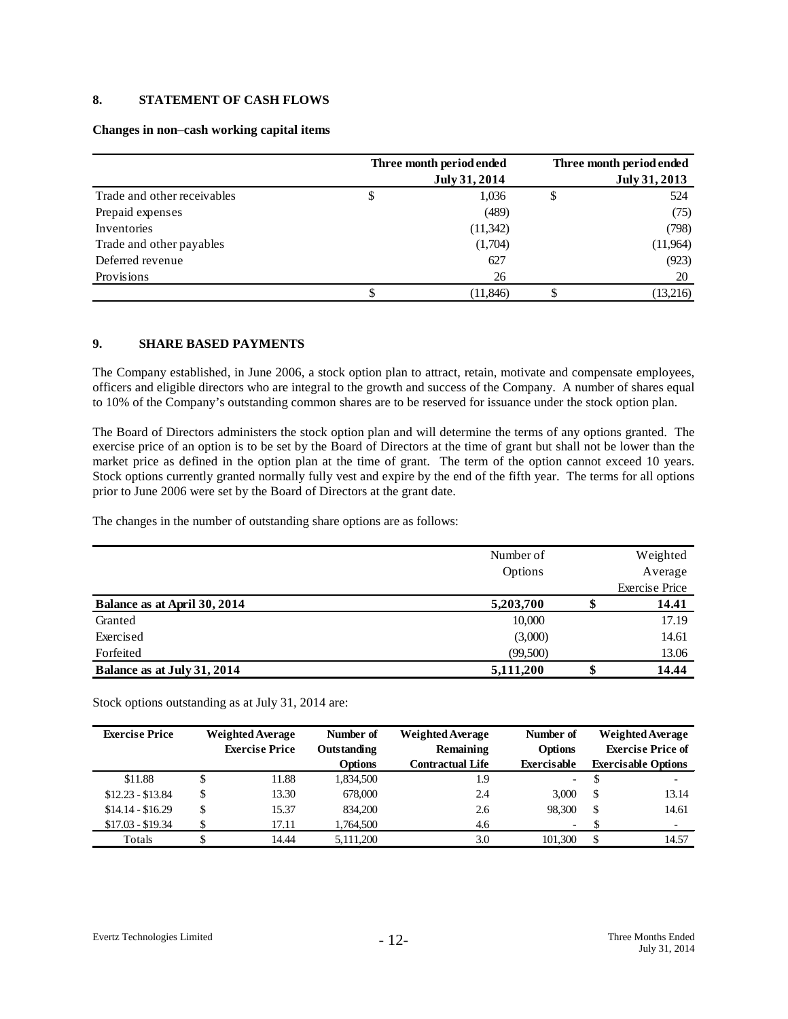# **8. STATEMENT OF CASH FLOWS**

#### **Changes in non**–**cash working capital items**

|                             | Three month period ended<br>July 31, 2014 |           |    |          |  |  |
|-----------------------------|-------------------------------------------|-----------|----|----------|--|--|
| Trade and other receivables | \$                                        | 1,036     | \$ | 524      |  |  |
| Prepaid expenses            |                                           | (489)     |    | (75)     |  |  |
| Inventories                 |                                           | (11,342)  |    | (798)    |  |  |
| Trade and other payables    |                                           | (1,704)   |    | (11,964) |  |  |
| Deferred revenue            |                                           | 627       |    | (923)    |  |  |
| Provisions                  |                                           | 26        |    | 20       |  |  |
|                             | S                                         | (11, 846) |    | (13,216) |  |  |

#### **9. SHARE BASED PAYMENTS**

The Company established, in June 2006, a stock option plan to attract, retain, motivate and compensate employees, officers and eligible directors who are integral to the growth and success of the Company. A number of shares equal to 10% of the Company's outstanding common shares are to be reserved for issuance under the stock option plan.

The Board of Directors administers the stock option plan and will determine the terms of any options granted. The exercise price of an option is to be set by the Board of Directors at the time of grant but shall not be lower than the market price as defined in the option plan at the time of grant. The term of the option cannot exceed 10 years. Stock options currently granted normally fully vest and expire by the end of the fifth year. The terms for all options prior to June 2006 were set by the Board of Directors at the grant date.

The changes in the number of outstanding share options are as follows:

|                              | Number of |    | Weighted              |
|------------------------------|-----------|----|-----------------------|
|                              | Options   |    | Average               |
|                              |           |    | <b>Exercise Price</b> |
| Balance as at April 30, 2014 | 5,203,700 |    | 14.41                 |
| Granted                      | 10,000    |    | 17.19                 |
| Exercised                    | (3,000)   |    | 14.61                 |
| Forfeited                    | (99,500)  |    | 13.06                 |
| Balance as at July 31, 2014  | 5,111,200 | ιВ | 14.44                 |

Stock options outstanding as at July 31, 2014 are:

| <b>Exercise Price</b> |    | <b>Weighted Average</b><br><b>Exercise Price</b> | Number of<br>Outstanding | <b>Weighted Average</b><br>Remaining | Number of<br><b>Options</b> | <b>Weighted Average</b><br><b>Exercise Price of</b> |                            |
|-----------------------|----|--------------------------------------------------|--------------------------|--------------------------------------|-----------------------------|-----------------------------------------------------|----------------------------|
|                       |    |                                                  | <b>Options</b>           | <b>Contractual Life</b>              | Exercisable                 |                                                     | <b>Exercisable Options</b> |
| \$11.88               |    | 11.88                                            | 1,834,500                | 1.9                                  | $\overline{\phantom{a}}$    |                                                     | $\overline{\phantom{0}}$   |
| $$12.23 - $13.84$     | \$ | 13.30                                            | 678,000                  | 2.4                                  | 3.000                       | S                                                   | 13.14                      |
| $$14.14 - $16.29$     | S  | 15.37                                            | 834,200                  | 2.6                                  | 98.300                      | S                                                   | 14.61                      |
| $$17.03 - $19.34$     | Φ  | 17.11                                            | 1.764.500                | 4.6                                  | $\overline{\phantom{0}}$    |                                                     | $\overline{\phantom{0}}$   |
| Totals                |    | 14.44                                            | 5,111,200                | 3.0                                  | 101.300                     | S                                                   | 14.57                      |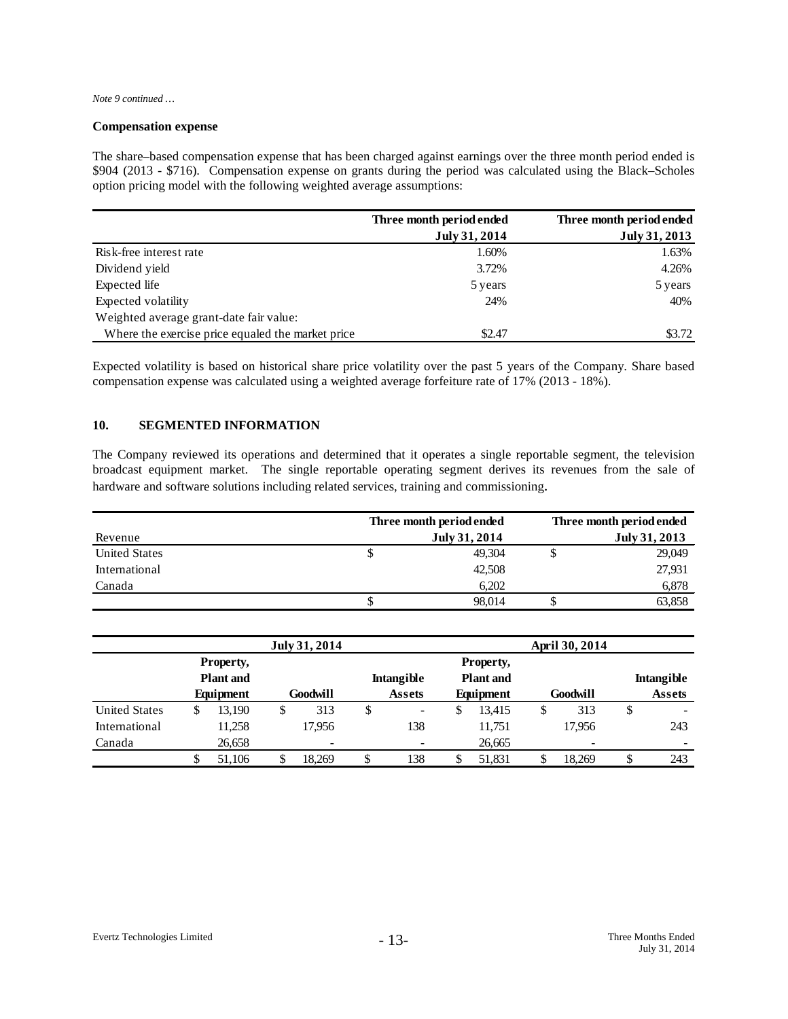*Note 9 continued …*

#### **Compensation expense**

The share–based compensation expense that has been charged against earnings over the three month period ended is \$904 (2013 - \$716). Compensation expense on grants during the period was calculated using the Black–Scholes option pricing model with the following weighted average assumptions:

|                                                   | Three month period ended | Three month period ended |
|---------------------------------------------------|--------------------------|--------------------------|
|                                                   | July 31, 2014            | July 31, 2013            |
| Risk-free interest rate                           | 1.60%                    | 1.63%                    |
| Dividend yield                                    | 3.72%                    | 4.26%                    |
| Expected life                                     | 5 years                  | 5 years                  |
| Expected volatility                               | 24%                      | 40%                      |
| Weighted average grant-date fair value:           |                          |                          |
| Where the exercise price equaled the market price | \$2.47                   | \$3.72                   |

Expected volatility is based on historical share price volatility over the past 5 years of the Company. Share based compensation expense was calculated using a weighted average forfeiture rate of 17% (2013 - 18%).

# **10. SEGMENTED INFORMATION**

The Company reviewed its operations and determined that it operates a single reportable segment, the television broadcast equipment market. The single reportable operating segment derives its revenues from the sale of hardware and software solutions including related services, training and commissioning.

|                      |   | Three month period ended | Three month period ended |               |  |
|----------------------|---|--------------------------|--------------------------|---------------|--|
| Revenue              |   | July 31, 2014            |                          | July 31, 2013 |  |
| <b>United States</b> | Φ | 49.304                   |                          | 29,049        |  |
| International        |   | 42,508                   |                          | 27,931        |  |
| Canada               |   | 6.202                    |                          | 6,878         |  |
|                      |   | 98.014                   |                          | 63,858        |  |

|                                       | July 31, 2014 |           |   |                                       |    |               | April 30, 2014 |           |   |          |   |               |
|---------------------------------------|---------------|-----------|---|---------------------------------------|----|---------------|----------------|-----------|---|----------|---|---------------|
|                                       |               | Property, |   |                                       |    |               |                | Property, |   |          |   |               |
| <b>Plant</b> and<br><b>Intangible</b> |               |           |   | <b>Plant</b> and<br><b>Intangible</b> |    |               |                |           |   |          |   |               |
|                                       |               | Equipment |   | Goodwill                              |    | <b>Assets</b> |                | Equipment |   | Goodwill |   | <b>Assets</b> |
| <b>United States</b>                  | S             | 13,190    | S | 313                                   | \$ | -             | J              | 13,415    | D | 313      | S | -             |
| International                         |               | 11,258    |   | 17,956                                |    | 138           |                | 11,751    |   | 17.956   |   | 243           |
| Canada                                |               | 26,658    |   | $\overline{\phantom{a}}$              |    |               |                | 26,665    |   | ۰        |   | -             |
|                                       |               | 51.106    |   | 18.269                                |    | 138           |                | 51,831    |   | 18.269   |   | 243           |